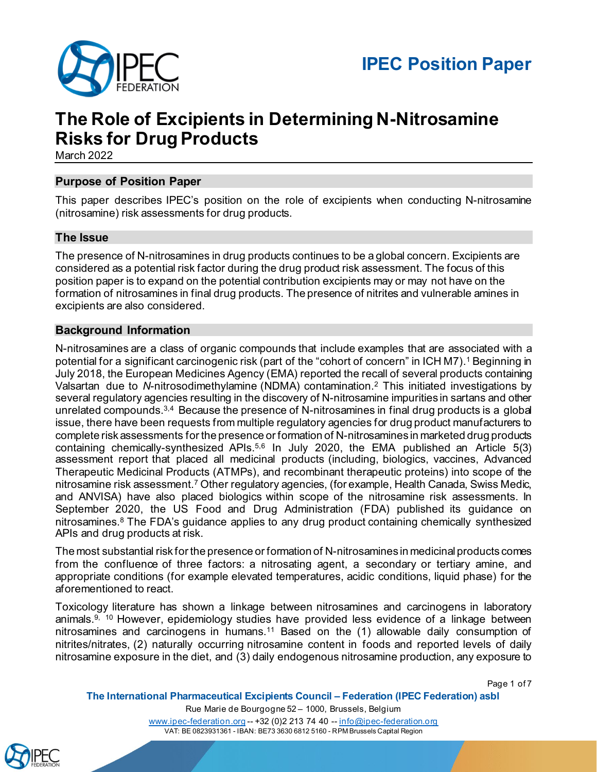

## **The Role of Excipients in Determining N-Nitrosamine Risks for Drug Products**

March 2022

## **Purpose of Position Paper**

This paper describes IPEC's position on the role of excipients when conducting N-nitrosamine (nitrosamine) risk assessments for drug products.

## **The Issue**

The presence of N-nitrosamines in drug products continues to be a global concern. Excipients are considered as a potential risk factor during the drug product risk assessment. The focus of this position paper is to expand on the potential contribution excipients may or may not have on the formation of nitrosamines in final drug products. The presence of nitrites and vulnerable amines in excipients are also considered.

## **Background Information**

N-nitrosamines are a class of organic compounds that include examples that are associated with a potential for a significant carcinogenic risk (part of the "cohort of concern" in ICH M7).1 Beginning in July 2018, the European Medicines Agency (EMA) reported the recall of several products containing Valsartan due to *N*-nitrosodimethylamine (NDMA) contamination.2 This initiated investigations by several regulatory agencies resulting in the discovery of N-nitrosamine impurities in sartans and other unrelated compounds.<sup>3,4</sup> Because the presence of N-nitrosamines in final drug products is a global issue, there have been requests from multiple regulatory agencies for drug product manufacturers to complete risk assessments for the presence or formation of N-nitrosamines in marketed drug products containing chemically-synthesized APIs. 5,6 In July 2020, the EMA published an Article 5(3) assessment report that placed all medicinal products (including, biologics, vaccines, Advanced Therapeutic Medicinal Products (ATMPs), and recombinant therapeutic proteins) into scope of the nitrosamine risk assessment.7 Other regulatory agencies, (for example, Health Canada, Swiss Medic, and ANVISA) have also placed biologics within scope of the nitrosamine risk assessments. In September 2020, the US Food and Drug Administration (FDA) published its guidance on nitrosamines.<sup>8</sup> The FDA's guidance applies to any drug product containing chemically synthesized APIs and drug products at risk.

The most substantial risk for the presence or formation of N-nitrosamines in medicinal products comes from the confluence of three factors: a nitrosating agent, a secondary or tertiary amine, and appropriate conditions (for example elevated temperatures, acidic conditions, liquid phase) for the aforementioned to react.

Toxicology literature has shown a linkage between nitrosamines and carcinogens in laboratory animals. $9, 10$  However, epidemiology studies have provided less evidence of a linkage between nitrosamines and carcinogens in humans.<sup>11</sup> Based on the (1) allowable daily consumption of nitrites/nitrates, (2) naturally occurring nitrosamine content in foods and reported levels of daily nitrosamine exposure in the diet, and (3) daily endogenous nitrosamine production, any exposure to

Page 1 of 7



Rue Marie de Bourgogne 52 – 1000, Brussels, Belgium [www.ipec-federation.org](http://www.ipec-federation.org/) -- +32 (0)2 213 74 40 -- [info@ipec-federation.org](mailto:info@ipec-federation.org)

VAT: BE 0823931361 - IBAN: BE73 3630 6812 5160 - RPM Brussels Capital Region

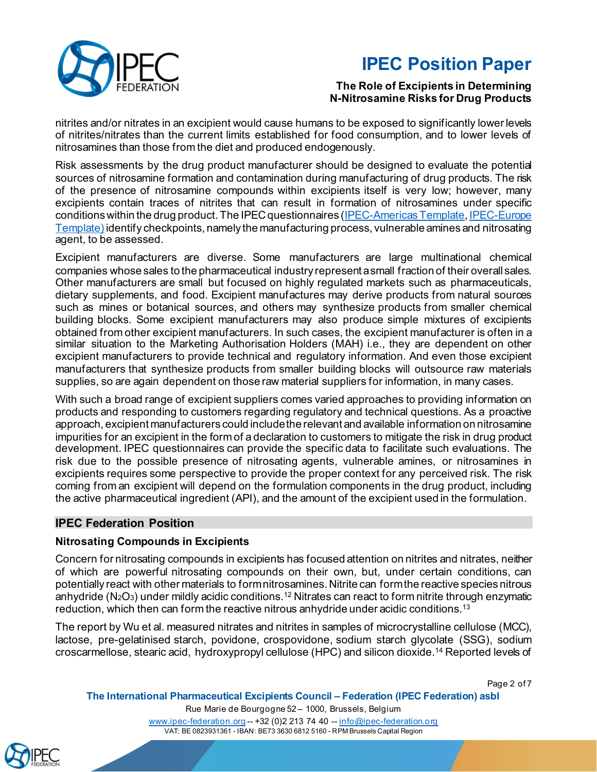

## **The Role of Excipients in Determining N-Nitrosamine Risks for Drug Products**

nitrites and/or nitrates in an excipient would cause humans to be exposed to significantly lower levels of nitrites/nitrates than the current limits established for food consumption, and to lower levels of nitrosamines than those from the diet and produced endogenously.

Risk assessments by the drug product manufacturer should be designed to evaluate the potential sources of nitrosamine formation and contamination during manufacturing of drug products. The risk of the presence of nitrosamine compounds within excipients itself is very low; however, many excipients contain traces of nitrites that can result in formation of nitrosamines under specific conditions within the drug product. The IPEC questionnaires [\(IPEC-Americas Template,](https://ipecamericas.org/news/nitrosamines-template-now-available-ipec-members) IPEC-Europe [Template\)](https://www.ipec-europe.org/uploads/publications/20210315-ie-questionnaire-for-excipient-nitrosamines-risk-evaluation-f-1615998997.docx) identify checkpoints, namely the manufacturing process, vulnerable amines and nitrosating agent, to be assessed.

Excipient manufacturers are diverse. Some manufacturers are large multinational chemical companies whose sales to the pharmaceutical industry represent a small fraction of their overall sales. Other manufacturers are small but focused on highly regulated markets such as pharmaceuticals, dietary supplements, and food. Excipient manufactures may derive products from natural sources such as mines or botanical sources, and others may synthesize products from smaller chemical building blocks. Some excipient manufacturers may also produce simple mixtures of excipients obtained from other excipient manufacturers. In such cases, the excipient manufacturer is often in a similar situation to the Marketing Authorisation Holders (MAH) i.e., they are dependent on other excipient manufacturers to provide technical and regulatory information. And even those excipient manufacturers that synthesize products from smaller building blocks will outsource raw materials supplies, so are again dependent on those raw material suppliers for information, in many cases.

With such a broad range of excipient suppliers comes varied approaches to providing information on products and responding to customers regarding regulatory and technical questions. As a proactive approach, excipient manufacturers could includethe relevant and available information on nitrosamine impurities for an excipient in the form of a declaration to customers to mitigate the risk in drug product development. IPEC questionnaires can provide the specific data to facilitate such evaluations. The risk due to the possible presence of nitrosating agents, vulnerable amines, or nitrosamines in excipients requires some perspective to provide the proper context for any perceived risk. The risk coming from an excipient will depend on the formulation components in the drug product, including the active pharmaceutical ingredient (API), and the amount of the excipient used in the formulation.

## **IPEC Federation Position**

## **Nitrosating Compounds in Excipients**

Concern for nitrosating compounds in excipients has focused attention on nitrites and nitrates, neither of which are powerful nitrosating compounds on their own, but, under certain conditions, can potentially react with other materials to form nitrosamines. Nitrite can form the reactive species nitrous anhydride (N2O $_3$ ) under mildly acidic conditions. $^{12}$  Nitrates can react to form nitrite through enzymatic reduction, which then can form the reactive nitrous anhydride under acidic conditions.13

The report by Wu et al. measured nitrates and nitrites in samples of microcrystalline cellulose (MCC), lactose, pre-gelatinised starch, povidone, crospovidone, sodium starch glycolate (SSG), sodium croscarmellose, stearic acid, hydroxypropyl cellulose (HPC) and silicon dioxide.14 Reported levels of

Page 2 of 7

**The International Pharmaceutical Excipients Council – Federation (IPEC Federation) asbl**

Rue Marie de Bourgogne 52 – 1000, Brussels, Belgium

[www.ipec-federation.org](http://www.ipec-federation.org/) -- +32 (0)2 213 74 40 -- [info@ipec-federation.org](mailto:info@ipec-federation.org) VAT: BE 0823931361 - IBAN: BE73 3630 6812 5160 - RPM Brussels Capital Region

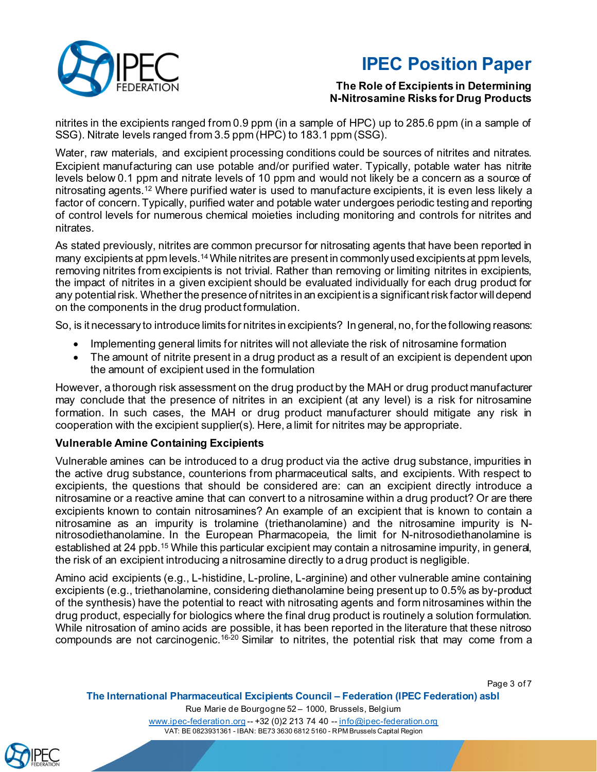

## **The Role of Excipients in Determining N-Nitrosamine Risks for Drug Products**

nitrites in the excipients ranged from 0.9 ppm (in a sample of HPC) up to 285.6 ppm (in a sample of SSG). Nitrate levels ranged from 3.5 ppm (HPC) to 183.1 ppm (SSG).

Water, raw materials, and excipient processing conditions could be sources of nitrites and nitrates. Excipient manufacturing can use potable and/or purified water. Typically, potable water has nitrite levels below 0.1 ppm and nitrate levels of 10 ppm and would not likely be a concern as a source of nitrosating agents.12 Where purified water is used to manufacture excipients, it is even less likely a factor of concern.Typically, purified water and potable water undergoes periodic testing and reporting of control levels for numerous chemical moieties including monitoring and controls for nitrites and nitrates.

As stated previously, nitrites are common precursor for nitrosating agents that have been reported in many excipients at ppm levels.<sup>14</sup> While nitrites are present in commonly used excipients at ppm levels, removing nitrites from excipients is not trivial. Rather than removing or limiting nitrites in excipients, the impact of nitrites in a given excipient should be evaluated individually for each drug product for any potential risk. Whether the presence of nitrites in an excipient is a significant risk factor will depend on the components in the drug product formulation.

So, is it necessary to introduce limits for nitrites in excipients? In general, no, for the following reasons:

- Implementing general limits for nitrites will not alleviate the risk of nitrosamine formation
- The amount of nitrite present in a drug product as a result of an excipient is dependent upon the amount of excipient used in the formulation

However, a thorough risk assessment on the drug product by the MAH or drug product manufacturer may conclude that the presence of nitrites in an excipient (at any level) is a risk for nitrosamine formation. In such cases, the MAH or drug product manufacturer should mitigate any risk in cooperation with the excipient supplier(s). Here, a limit for nitrites may be appropriate.

## **Vulnerable Amine Containing Excipients**

Vulnerable amines can be introduced to a drug product via the active drug substance, impurities in the active drug substance, counterions from pharmaceutical salts, and excipients. With respect to excipients, the questions that should be considered are: can an excipient directly introduce a nitrosamine or a reactive amine that can convert to a nitrosamine within a drug product? Or are there excipients known to contain nitrosamines? An example of an excipient that is known to contain a nitrosamine as an impurity is trolamine (triethanolamine) and the nitrosamine impurity is Nnitrosodiethanolamine. In the European Pharmacopeia, the limit for N-nitrosodiethanolamine is established at 24 ppb.<sup>15</sup> While this particular excipient may contain a nitrosamine impurity, in general, the risk of an excipient introducing a nitrosamine directly to a drug product is negligible.

Amino acid excipients (e.g., L-histidine, L-proline, L-arginine) and other vulnerable amine containing excipients (e.g., triethanolamine, considering diethanolamine being present up to 0.5% as by-product of the synthesis) have the potential to react with nitrosating agents and form nitrosamines within the drug product, especially for biologics where the final drug product is routinely a solution formulation. While nitrosation of amino acids are possible, it has been reported in the literature that these nitroso compounds are not carcinogenic.16-20 Similar to nitrites, the potential risk that may come from a

Page 3 of 7

#### **The International Pharmaceutical Excipients Council – Federation (IPEC Federation) asbl**

Rue Marie de Bourgogne 52 – 1000, Brussels, Belgium [www.ipec-federation.org](http://www.ipec-federation.org/) -- +32 (0)2 213 74 40 -- [info@ipec-federation.org](mailto:info@ipec-federation.org) VAT: BE 0823931361 - IBAN: BE73 3630 6812 5160 - RPM Brussels Capital Region

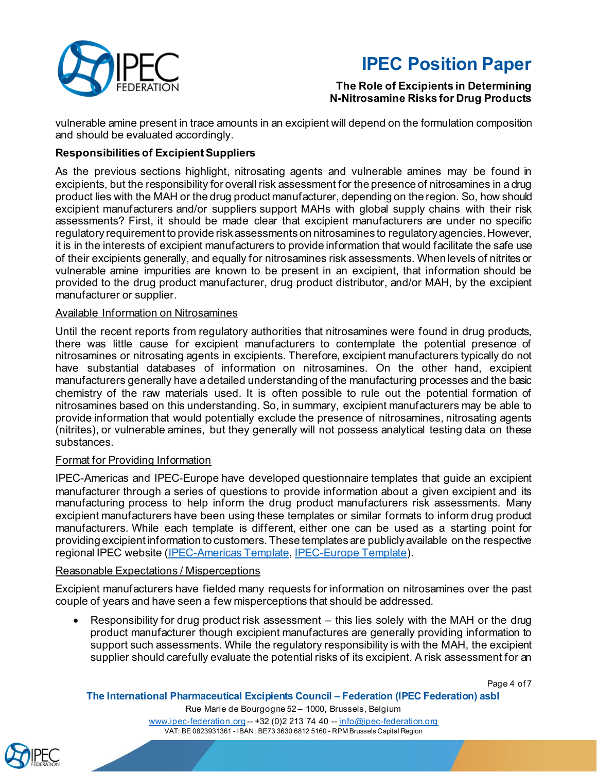

## **The Role of Excipients in Determining N-Nitrosamine Risks for Drug Products**

vulnerable amine present in trace amounts in an excipient will depend on the formulation composition and should be evaluated accordingly.

## **Responsibilities of ExcipientSuppliers**

As the previous sections highlight, nitrosating agents and vulnerable amines may be found in excipients, but the responsibility for overall risk assessment for the presence of nitrosamines in a drug product lies with the MAH or the drug product manufacturer, depending on the region. So, how should excipient manufacturers and/or suppliers support MAHs with global supply chains with their risk assessments? First, it should be made clear that excipient manufacturers are under no specific regulatory requirement to provide risk assessments on nitrosamines to regulatory agencies. However, it is in the interests of excipient manufacturers to provide information that would facilitate the safe use of their excipients generally, and equally for nitrosamines risk assessments. When levels of nitrites or vulnerable amine impurities are known to be present in an excipient, that information should be provided to the drug product manufacturer, drug product distributor, and/or MAH, by the excipient manufacturer or supplier.

### Available Information on Nitrosamines

Until the recent reports from regulatory authorities that nitrosamines were found in drug products, there was little cause for excipient manufacturers to contemplate the potential presence of nitrosamines or nitrosating agents in excipients. Therefore, excipient manufacturers typically do not have substantial databases of information on nitrosamines. On the other hand, excipient manufacturers generally have a detailed understanding of the manufacturing processes and the basic chemistry of the raw materials used. It is often possible to rule out the potential formation of nitrosamines based on this understanding. So, in summary, excipient manufacturers may be able to provide information that would potentially exclude the presence of nitrosamines, nitrosating agents (nitrites), or vulnerable amines, but they generally will not possess analytical testing data on these substances.

### Format for Providing Information

IPEC-Americas and IPEC-Europe have developed questionnaire templates that guide an excipient manufacturer through a series of questions to provide information about a given excipient and its manufacturing process to help inform the drug product manufacturers risk assessments. Many excipient manufacturers have been using these templates or similar formats to inform drug product manufacturers. While each template is different, either one can be used as a starting point for providing excipient information to customers. These templates are publicly available on the respective regional IPEC website [\(IPEC-Americas Template,](https://ipecamericas.org/news/nitrosamines-template-now-available-ipec-members) [IPEC-Europe Template\)](https://www.ipec-europe.org/uploads/publications/20210315-ie-questionnaire-for-excipient-nitrosamines-risk-evaluation-f-1615998997.docx).

## Reasonable Expectations / Misperceptions

Excipient manufacturers have fielded many requests for information on nitrosamines over the past couple of years and have seen a few misperceptions that should be addressed.

• Responsibility for drug product risk assessment – this lies solely with the MAH or the drug product manufacturer though excipient manufactures are generally providing information to support such assessments. While the regulatory responsibility is with the MAH, the excipient supplier should carefully evaluate the potential risks of its excipient. A risk assessment for an

Page 4 of 7

#### **The International Pharmaceutical Excipients Council – Federation (IPEC Federation) asbl**

Rue Marie de Bourgogne 52 – 1000, Brussels, Belgium

[www.ipec-federation.org](http://www.ipec-federation.org/) -- +32 (0)2 213 74 40 -- [info@ipec-federation.org](mailto:info@ipec-federation.org) VAT: BE 0823931361 - IBAN: BE73 3630 6812 5160 - RPM Brussels Capital Region

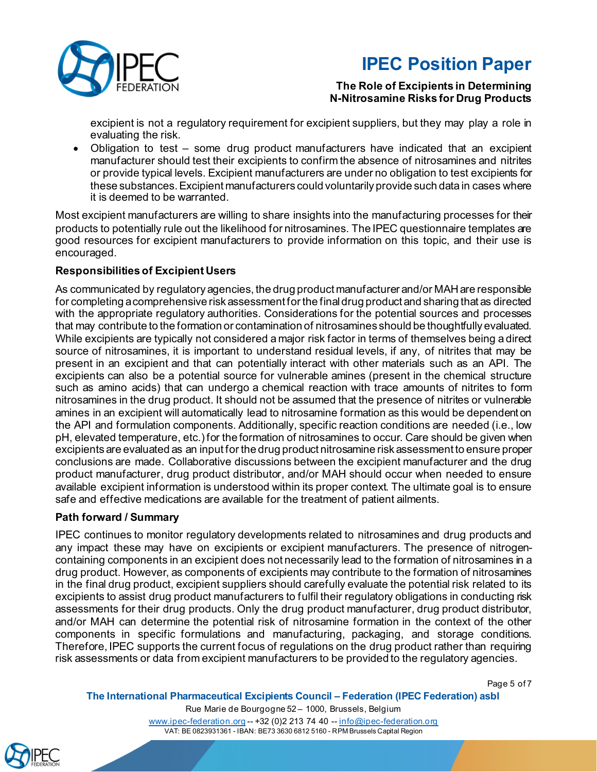

## **The Role of Excipients in Determining N-Nitrosamine Risks for Drug Products**

excipient is not a regulatory requirement for excipient suppliers, but they may play a role in evaluating the risk.

• Obligation to test – some drug product manufacturers have indicated that an excipient manufacturer should test their excipients to confirm the absence of nitrosamines and nitrites or provide typical levels. Excipient manufacturers are under no obligation to test excipients for these substances. Excipient manufacturers could voluntarily provide such data in cases where it is deemed to be warranted.

Most excipient manufacturers are willing to share insights into the manufacturing processes for their products to potentially rule out the likelihood for nitrosamines. The IPEC questionnaire templates are good resources for excipient manufacturers to provide information on this topic, and their use is encouraged.

## **Responsibilities of Excipient Users**

As communicated by regulatory agencies, the drug product manufacturer and/or MAH are responsible for completing acomprehensive risk assessment for the final drug product and sharing that as directed with the appropriate regulatory authorities. Considerations for the potential sources and processes that may contribute to the formation or contamination of nitrosamines should be thoughtfully evaluated. While excipients are typically not considered a major risk factor in terms of themselves being a direct source of nitrosamines, it is important to understand residual levels, if any, of nitrites that may be present in an excipient and that can potentially interact with other materials such as an API. The excipients can also be a potential source for vulnerable amines (present in the chemical structure such as amino acids) that can undergo a chemical reaction with trace amounts of nitrites to form nitrosamines in the drug product. It should not be assumed that the presence of nitrites or vulnerable amines in an excipient will automatically lead to nitrosamine formation as this would be dependent on the API and formulation components. Additionally, specific reaction conditions are needed (i.e., low pH, elevated temperature, etc.) for the formation of nitrosamines to occur. Care should be given when excipients are evaluated as an input for the drug product nitrosamine risk assessment to ensure proper conclusions are made. Collaborative discussions between the excipient manufacturer and the drug product manufacturer, drug product distributor, and/or MAH should occur when needed to ensure available excipient information is understood within its proper context. The ultimate goal is to ensure safe and effective medications are available for the treatment of patient ailments.

## **Path forward / Summary**

IPEC continues to monitor regulatory developments related to nitrosamines and drug products and any impact these may have on excipients or excipient manufacturers. The presence of nitrogencontaining components in an excipient does not necessarily lead to the formation of nitrosamines in a drug product. However, as components of excipients may contribute to the formation of nitrosamines in the final drug product, excipient suppliers should carefully evaluate the potential risk related to its excipients to assist drug product manufacturers to fulfil their regulatory obligations in conducting risk assessments for their drug products. Only the drug product manufacturer, drug product distributor, and/or MAH can determine the potential risk of nitrosamine formation in the context of the other components in specific formulations and manufacturing, packaging, and storage conditions. Therefore, IPEC supports the current focus of regulations on the drug product rather than requiring risk assessments or data from excipient manufacturers to be provided to the regulatory agencies.

Page 5 of 7

#### **The International Pharmaceutical Excipients Council – Federation (IPEC Federation) asbl**

Rue Marie de Bourgogne 52 – 1000, Brussels, Belgium [www.ipec-federation.org](http://www.ipec-federation.org/) -- +32 (0)2 213 74 40 -- [info@ipec-federation.org](mailto:info@ipec-federation.org) VAT: BE 0823931361 - IBAN: BE73 3630 6812 5160 - RPM Brussels Capital Region

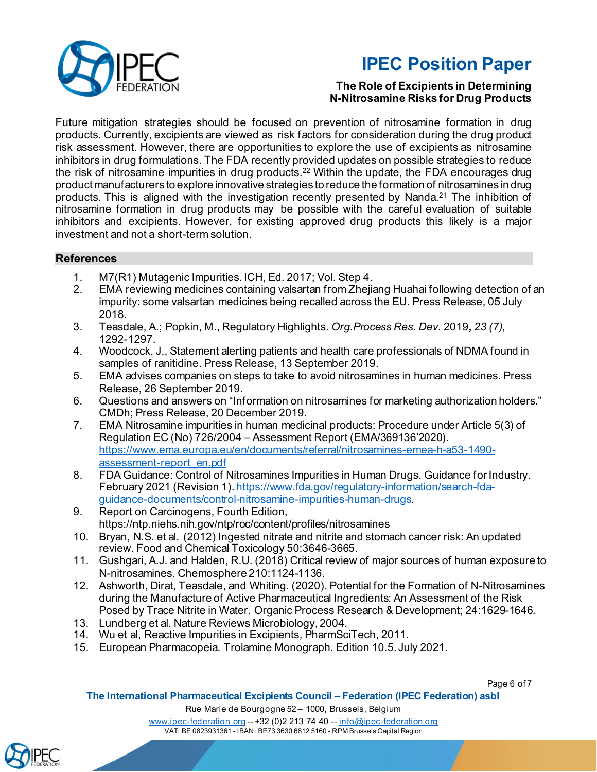

## **The Role of Excipients in Determining N-Nitrosamine Risks for Drug Products**

Future mitigation strategies should be focused on prevention of nitrosamine formation in drug products. Currently, excipients are viewed as risk factors for consideration during the drug product risk assessment. However, there are opportunities to explore the use of excipients as nitrosamine inhibitors in drug formulations. The FDA recently provided updates on possible strategies to reduce the risk of nitrosamine impurities in drug products.22 Within the update, the FDA encourages drug product manufacturers to explore innovative strategies to reduce the formation of nitrosamines in drug products. This is aligned with the investigation recently presented by Nanda. <sup>21</sup> The inhibition of nitrosamine formation in drug products may be possible with the careful evaluation of suitable inhibitors and excipients. However, for existing approved drug products this likely is a major investment and not a short-term solution.

## **References**

- 1. M7(R1) Mutagenic Impurities. ICH, Ed. 2017; Vol. Step 4.
- EMA reviewing medicines containing valsartan from Zhejiang Huahai following detection of an impurity: some valsartan medicines being recalled across the EU. Press Release, 05 July 2018.
- 3. Teasdale, A.; Popkin, M., Regulatory Highlights. *Org.Process Res. Dev.* 2019**,** *23 (7)*, 1292-1297.
- 4. Woodcock, J., Statement alerting patients and health care professionals of NDMA found in samples of ranitidine. Press Release, 13 September 2019.
- 5. EMA advises companies on steps to take to avoid nitrosamines in human medicines. Press Release, 26 September 2019.
- 6. Questions and answers on "Information on nitrosamines for marketing authorization holders." CMDh; Press Release, 20 December 2019.
- 7. EMA Nitrosamine impurities in human medicinal products: Procedure under Article 5(3) of Regulation EC (No) 726/2004 – Assessment Report (EMA/369136'2020). [https://www.ema.europa.eu/en/documents/referral/nitrosamines-emea-h-a53-1490](https://www.ema.europa.eu/en/documents/referral/nitrosamines-emea-h-a53-1490-assessment-report_en.pdf) [assessment-report\\_en.pdf](https://www.ema.europa.eu/en/documents/referral/nitrosamines-emea-h-a53-1490-assessment-report_en.pdf)
- 8. FDA Guidance: Control of Nitrosamines Impurities in Human Drugs. Guidance for Industry. February 2021 (Revision 1)[. https://www.fda.gov/regulatory-information/search-fda](https://www.fda.gov/regulatory-information/search-fda-guidance-documents/control-nitrosamine-impurities-human-drugs)[guidance-documents/control-nitrosamine-impurities-human-drugs.](https://www.fda.gov/regulatory-information/search-fda-guidance-documents/control-nitrosamine-impurities-human-drugs)
- 9. Report on Carcinogens, Fourth Edition, https://ntp.niehs.nih.gov/ntp/roc/content/profiles/nitrosamines
- 10. Bryan, N.S. et al. (2012) Ingested nitrate and nitrite and stomach cancer risk: An updated review. Food and Chemical Toxicology 50:3646-3665.
- 11. Gushgari, A.J. and Halden, R.U. (2018) Critical review of major sources of human exposure to N-nitrosamines. Chemosphere 210:1124-1136.
- 12. Ashworth, Dirat, Teasdale, and Whiting. (2020). Potential for the Formation of N‑Nitrosamines during the Manufacture of Active Pharmaceutical Ingredients: An Assessment of the Risk Posed by Trace Nitrite in Water. Organic Process Research & Development; 24:1629-1646.
- 13. Lundberg et al. Nature Reviews Microbiology, 2004.
- 14. Wu et al, Reactive Impurities in Excipients, PharmSciTech, 2011.
- 15. European Pharmacopeia. Trolamine Monograph. Edition 10.5. July 2021.

Page 6 of 7

### **The International Pharmaceutical Excipients Council – Federation (IPEC Federation) asbl**

Rue Marie de Bourgogne 52 – 1000, Brussels, Belgium